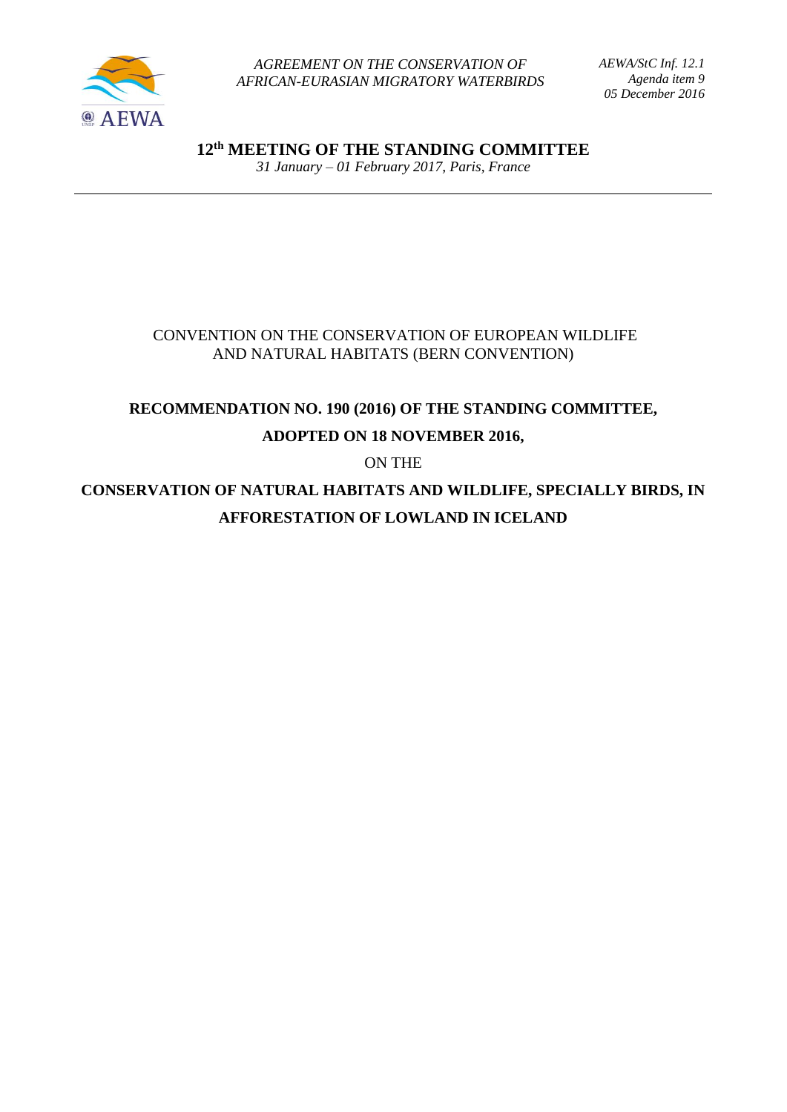

*AGREEMENT ON THE CONSERVATION OF AFRICAN-EURASIAN MIGRATORY WATERBIRDS* *AEWA/StC Inf. 12.1 Agenda item 9 05 December 2016*

**12 th MEETING OF THE STANDING COMMITTEE** *31 January – 01 February 2017, Paris, France*

## CONVENTION ON THE CONSERVATION OF EUROPEAN WILDLIFE AND NATURAL HABITATS (BERN CONVENTION)

# **RECOMMENDATION NO. 190 (2016) OF THE STANDING COMMITTEE, ADOPTED ON 18 NOVEMBER 2016,**

ON THE

**CONSERVATION OF NATURAL HABITATS AND WILDLIFE, SPECIALLY BIRDS, IN AFFORESTATION OF LOWLAND IN ICELAND**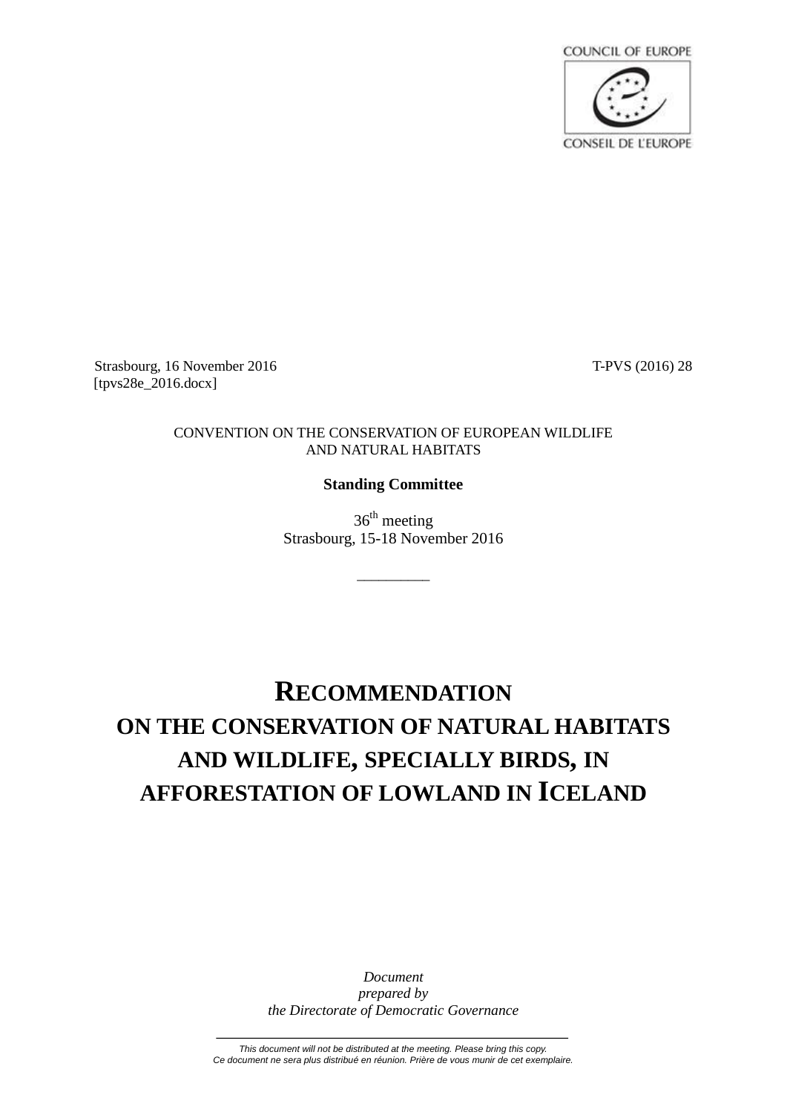

Strasbourg, 16 November 2016 **T-PVS** (2016) 28 [tpvs28e\_2016.docx]

#### CONVENTION ON THE CONSERVATION OF EUROPEAN WILDLIFE AND NATURAL HABITATS

## **Standing Committee**

 $36<sup>th</sup>$  meeting Strasbourg, 15-18 November 2016

\_\_\_\_\_\_\_\_\_\_

# **RECOMMENDATION ON THE CONSERVATION OF NATURAL HABITATS AND WILDLIFE, SPECIALLY BIRDS, IN AFFORESTATION OF LOWLAND IN ICELAND**

*Document prepared by the Directorate of Democratic Governance*

*This document will not be distributed at the meeting. Please bring this copy. Ce document ne sera plus distribué en réunion. Prière de vous munir de cet exemplaire.*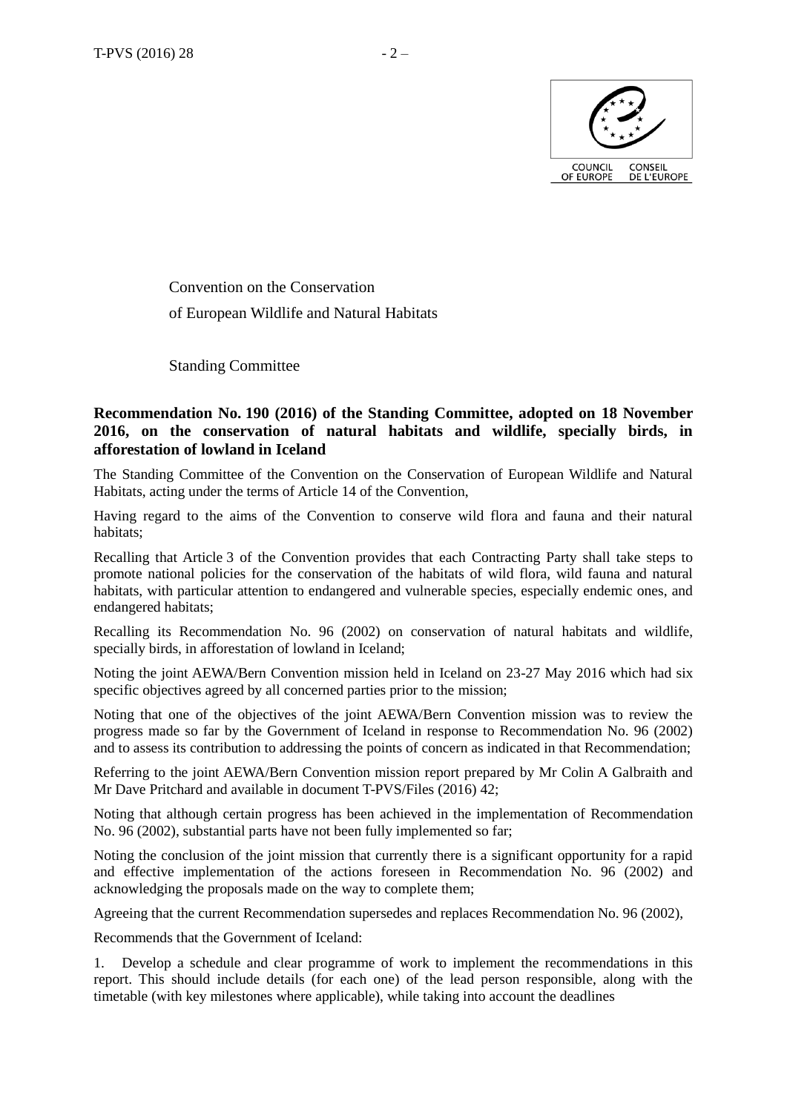

Convention on the Conservation of European Wildlife and Natural Habitats

Standing Committee

#### **Recommendation No. 190 (2016) of the Standing Committee, adopted on 18 November 2016, on the conservation of natural habitats and wildlife, specially birds, in afforestation of lowland in Iceland**

The Standing Committee of the Convention on the Conservation of European Wildlife and Natural Habitats, acting under the terms of Article 14 of the Convention,

Having regard to the aims of the Convention to conserve wild flora and fauna and their natural habitats;

Recalling that Article 3 of the Convention provides that each Contracting Party shall take steps to promote national policies for the conservation of the habitats of wild flora, wild fauna and natural habitats, with particular attention to endangered and vulnerable species, especially endemic ones, and endangered habitats;

Recalling its Recommendation No. 96 (2002) on conservation of natural habitats and wildlife, specially birds, in afforestation of lowland in Iceland;

Noting the joint AEWA/Bern Convention mission held in Iceland on 23-27 May 2016 which had six specific objectives agreed by all concerned parties prior to the mission;

Noting that one of the objectives of the joint AEWA/Bern Convention mission was to review the progress made so far by the Government of Iceland in response to Recommendation No. 96 (2002) and to assess its contribution to addressing the points of concern as indicated in that Recommendation;

Referring to the joint AEWA/Bern Convention mission report prepared by Mr Colin A Galbraith and Mr Dave Pritchard and available in document T-PVS/Files (2016) 42;

Noting that although certain progress has been achieved in the implementation of Recommendation No. 96 (2002), substantial parts have not been fully implemented so far;

Noting the conclusion of the joint mission that currently there is a significant opportunity for a rapid and effective implementation of the actions foreseen in Recommendation No. 96 (2002) and acknowledging the proposals made on the way to complete them;

Agreeing that the current Recommendation supersedes and replaces Recommendation No. 96 (2002),

Recommends that the Government of Iceland:

1. Develop a schedule and clear programme of work to implement the recommendations in this report. This should include details (for each one) of the lead person responsible, along with the timetable (with key milestones where applicable), while taking into account the deadlines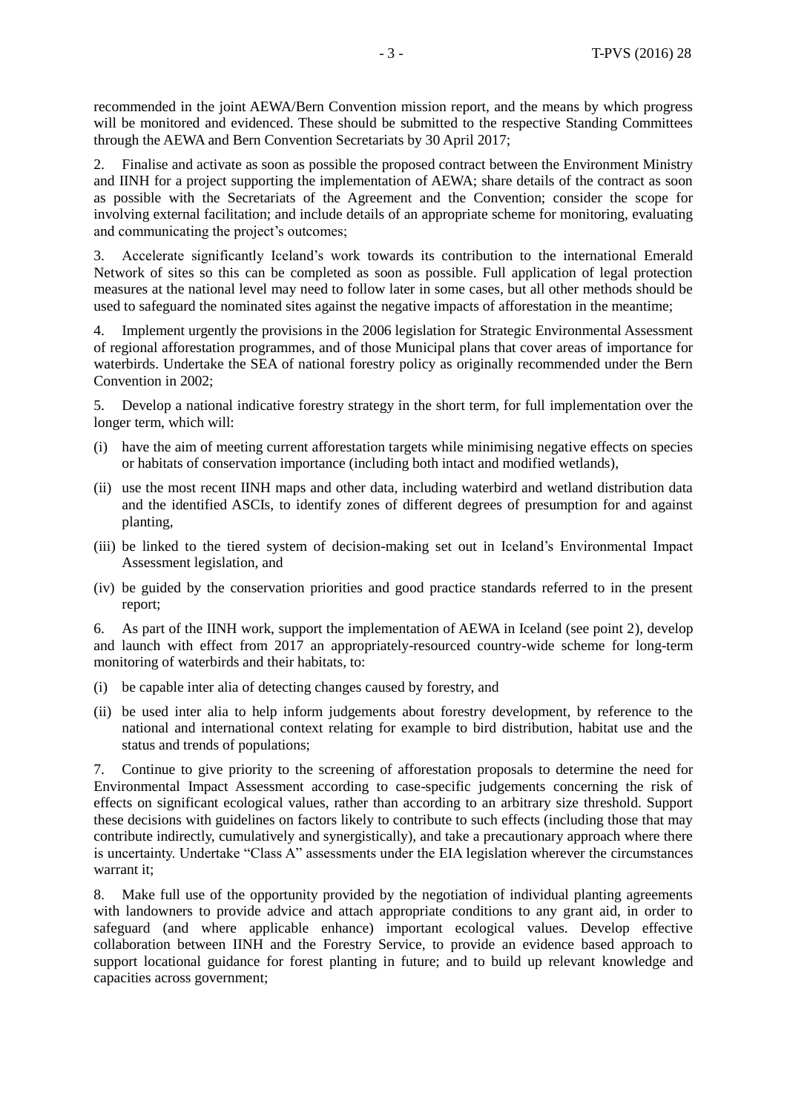recommended in the joint AEWA/Bern Convention mission report, and the means by which progress will be monitored and evidenced. These should be submitted to the respective Standing Committees through the AEWA and Bern Convention Secretariats by 30 April 2017;

2. Finalise and activate as soon as possible the proposed contract between the Environment Ministry and IINH for a project supporting the implementation of AEWA; share details of the contract as soon as possible with the Secretariats of the Agreement and the Convention; consider the scope for involving external facilitation; and include details of an appropriate scheme for monitoring, evaluating and communicating the project's outcomes;

3. Accelerate significantly Iceland's work towards its contribution to the international Emerald Network of sites so this can be completed as soon as possible. Full application of legal protection measures at the national level may need to follow later in some cases, but all other methods should be used to safeguard the nominated sites against the negative impacts of afforestation in the meantime;

4. Implement urgently the provisions in the 2006 legislation for Strategic Environmental Assessment of regional afforestation programmes, and of those Municipal plans that cover areas of importance for waterbirds. Undertake the SEA of national forestry policy as originally recommended under the Bern Convention in 2002;

5. Develop a national indicative forestry strategy in the short term, for full implementation over the longer term, which will:

- (i) have the aim of meeting current afforestation targets while minimising negative effects on species or habitats of conservation importance (including both intact and modified wetlands),
- (ii) use the most recent IINH maps and other data, including waterbird and wetland distribution data and the identified ASCIs, to identify zones of different degrees of presumption for and against planting,
- (iii) be linked to the tiered system of decision-making set out in Iceland's Environmental Impact Assessment legislation, and
- (iv) be guided by the conservation priorities and good practice standards referred to in the present report;

6. As part of the IINH work, support the implementation of AEWA in Iceland (see point 2), develop and launch with effect from 2017 an appropriately-resourced country-wide scheme for long-term monitoring of waterbirds and their habitats, to:

- (i) be capable inter alia of detecting changes caused by forestry, and
- (ii) be used inter alia to help inform judgements about forestry development, by reference to the national and international context relating for example to bird distribution, habitat use and the status and trends of populations;

7. Continue to give priority to the screening of afforestation proposals to determine the need for Environmental Impact Assessment according to case-specific judgements concerning the risk of effects on significant ecological values, rather than according to an arbitrary size threshold. Support these decisions with guidelines on factors likely to contribute to such effects (including those that may contribute indirectly, cumulatively and synergistically), and take a precautionary approach where there is uncertainty. Undertake "Class A" assessments under the EIA legislation wherever the circumstances warrant it;

8. Make full use of the opportunity provided by the negotiation of individual planting agreements with landowners to provide advice and attach appropriate conditions to any grant aid, in order to safeguard (and where applicable enhance) important ecological values. Develop effective collaboration between IINH and the Forestry Service, to provide an evidence based approach to support locational guidance for forest planting in future; and to build up relevant knowledge and capacities across government;